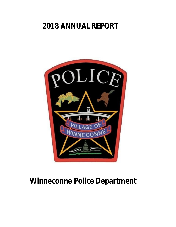# **2018 ANNUAL REPORT**



# **Winneconne Police Department**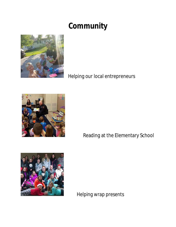# **Community**



Helping our local entrepreneurs



Reading at the Elementary School



Helping wrap presents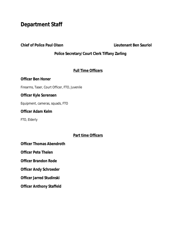# **Department Staff**

**Chief of Police Paul Olson Lieutenant Ben Sauriol**

#### **Police Secretary/Court Clerk Tiffany Zarling**

### **Full Time Officers**

#### **Officer Ben Honer**

Firearms, Taser, Court Officer, FTO, Juvenile

#### **Officer Kyle Sorensen**

Equipment, cameras, squads, FTO

#### **Officer Adam Kelm**

FTO, Elderly

#### **Part time Officers**

**Officer Thomas Abendroth**

**Officer Pete Thelen**

**Officer Brandon Rode**

**Officer Andy Schroeder**

**Officer Jarred Studinski**

**Officer Anthony Staffeld**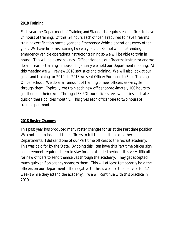## **2018 Training**

Each year the Department of Training and Standards requires each officer to have 24 hours of training. Of this, 24 hours each officer is required to have firearms training certification once a year and Emergency Vehicle operations every other year. We have firearms training twice a year. Lt. Sauriol will be attending emergency vehicle operations instructor training so we will be able to train in house. This will be a cost savings. Officer Honer is our firearms instructor and we do all firearms training in house. In January we hold our Department meeting. At this meeting we will review 2018 statistics and training. We will also look at our goals and training for 2019. In 2018 we sent Officer Sorensen to Field Training Officer school. We do a fair amount of training of new officers as we cycle through them. Typically, we train each new officer approximately 100 hours to get them on their own. Through LEXIPOL our officers review policies and take a quiz on these policies monthly. This gives each officer one to two hours of training per month.

### **2018 Roster Changes**

This past year has produced many roster changes for us at the Part time position. We continue to lose part time officers to full time positions on other Departments. I did send one of our Part time officers to the recruit academy. This was paid for by the State. By doing this I can have this Part time officer sign an agreement requiring them to stay for an extended period. It is very difficult for new officers to send themselves through the academy. They get accepted much quicker if an agency sponsors them. This will at least temporarily hold the officers on our Department. The negative to this is we lose their service for 17 weeks while they attend the academy. We will continue with this practice in 2019.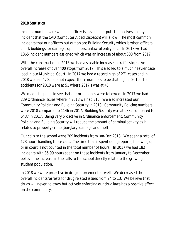### **2018 Statistics**

Incident numbers are when an officer is assigned or puts themselves on any incident that the CAD (Computer Aided Dispatch) will allow. The most common incidents that our officers put out on are Building Security which is when officers check buildings for damage, open doors, unlawful entry, etc. In 2018 we had 1365 incident numbers assigned which was an increase of about 300 from 2017.

With the construction in 2018 we had a sizeable increase in traffic stops. An overall increase of over 400 stops from 2017. This also led to a much heavier case load in our Municipal Court. In 2017 we had a record high of 271 cases and in 2018 we had 470. I do not expect those numbers to be that high in 2019. The accidents for 2018 were at 51 where 2017's was at 45.

We made it a point to see that our ordinances were followed. In 2017 we had 239 Ordinance issues where in 2018 we had 315. We also increased our Community Policing and Building Security in 2018. Community Policing numbers were 2018 compared to 1146 in 2017. Building Security was at 9332 compared to 6437 in 2017. Being very proactive in Ordinance enforcement, Community Policing and Building Security will reduce the amount of criminal activity as it relates to property crime (burglary, damage and theft).

Our calls to the school were 209 incidents from Jan-Dec 2018. We spent a total of 123 hours handling these calls. The time that is spent doing reports, following up or in court is not counted in the total number of hours. In 2017 we had 182 incidents with 85.99 hours spent on those incidents from January to December. I believe the increase in the calls to the school directly relate to the growing student population.

In 2018 we were proactive in drug enforcement as well. We decreased the overall incidents/arrests for drug related issues from 24 to 13. We believe that drugs will never go away but actively enforcing our drug laws has a positive effect on the community.